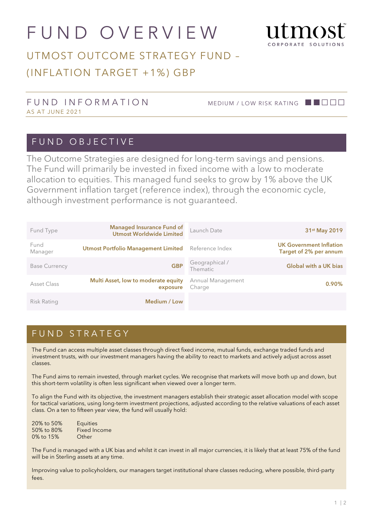# FUND OVERVIEW



# UTMOST OUTCOME STRATEGY FUND – (INFLATION TARGET +1%) GBP

#### FUND INFORMATION MEDIUM / LOW RISK RATING ■■□□□ AS AT JUNE 2021

#### FUND OBJECTIVE

The Outcome Strategies are designed for long-term savings and pensions. The Fund will primarily be invested in fixed income with a low to moderate allocation to equities. This managed fund seeks to grow by 1% above the UK Government inflation target (reference index), through the economic cycle, although investment performance is not guaranteed.

| Fund Type            | <b>Managed Insurance Fund of</b><br><b>Utmost Worldwide Limited</b> | Launch Date                 | 31 <sup>st</sup> May 2019                                |
|----------------------|---------------------------------------------------------------------|-----------------------------|----------------------------------------------------------|
| Fund<br>Manager      | <b>Utmost Portfolio Management Limited</b>                          | Reference Index             | <b>UK Government Inflation</b><br>Target of 2% per annum |
| <b>Base Currency</b> | <b>GBP</b>                                                          | Geographical /<br>Thematic  | <b>Global with a UK bias</b>                             |
| Asset Class          | Multi Asset, low to moderate equity<br>exposure                     | Annual Management<br>Charge | $0.90\%$                                                 |
| Risk Rating          | Medium / Low                                                        |                             |                                                          |

#### FUND STRATEGY

The Fund can access multiple asset classes through direct fixed income, mutual funds, exchange traded funds and investment trusts, with our investment managers having the ability to react to markets and actively adjust across asset classes.

The Fund aims to remain invested, through market cycles. We recognise that markets will move both up and down, but this short-term volatility is often less significant when viewed over a longer term.

To align the Fund with its objective, the investment managers establish their strategic asset allocation model with scope for tactical variations, using long-term investment projections, adjusted according to the relative valuations of each asset class. On a ten to fifteen year view, the fund will usually hold:

| 20% to 50% | <b>Equities</b>     |
|------------|---------------------|
| 50% to 80% | <b>Fixed Income</b> |
| 0% to 15%  | Other               |

The Fund is managed with a UK bias and whilst it can invest in all major currencies, it is likely that at least 75% of the fund will be in Sterling assets at any time.

Improving value to policyholders, our managers target institutional share classes reducing, where possible, third-party fees.